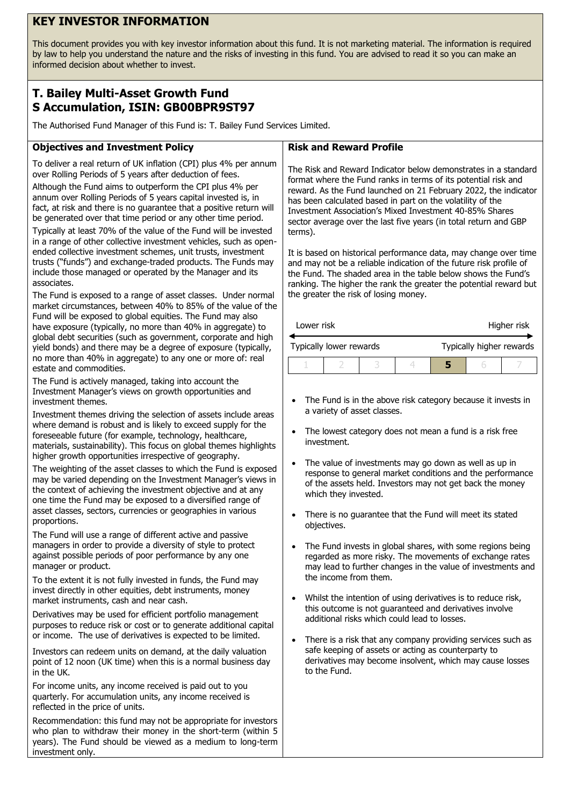# **KEY INVESTOR INFORMATION**

This document provides you with key investor information about this fund. It is not marketing material. The information is required by law to help you understand the nature and the risks of investing in this fund. You are advised to read it so you can make an informed decision about whether to invest.

## **T. Bailey Multi-Asset Growth Fund S Accumulation, ISIN: GB00BPR9ST97**

The Authorised Fund Manager of this Fund is: T. Bailey Fund Services Limited.

### **Objectives and Investment Policy**

To deliver a real return of UK inflation (CPI) plus 4% per annum over Rolling Periods of 5 years after deduction of fees.

Although the Fund aims to outperform the CPI plus 4% per annum over Rolling Periods of 5 years capital invested is, in fact, at risk and there is no guarantee that a positive return will be generated over that time period or any other time period.

Typically at least 70% of the value of the Fund will be invested in a range of other collective investment vehicles, such as openended collective investment schemes, unit trusts, investment trusts ("funds") and exchange-traded products. The Funds may include those managed or operated by the Manager and its associates.

The Fund is exposed to a range of asset classes. Under normal market circumstances, between 40% to 85% of the value of the Fund will be exposed to global equities. The Fund may also have exposure (typically, no more than 40% in aggregate) to global debt securities (such as government, corporate and high yield bonds) and there may be a degree of exposure (typically, no more than 40% in aggregate) to any one or more of: real estate and commodities.

The Fund is actively managed, taking into account the Investment Manager's views on growth opportunities and investment themes.

Investment themes driving the selection of assets include areas where demand is robust and is likely to exceed supply for the foreseeable future (for example, technology, healthcare, materials, sustainability). This focus on global themes highlights higher growth opportunities irrespective of geography.

The weighting of the asset classes to which the Fund is exposed may be varied depending on the Investment Manager's views in the context of achieving the investment objective and at any one time the Fund may be exposed to a diversified range of asset classes, sectors, currencies or geographies in various proportions.

The Fund will use a range of different active and passive managers in order to provide a diversity of style to protect against possible periods of poor performance by any one manager or product.

To the extent it is not fully invested in funds, the Fund may invest directly in other equities, debt instruments, money market instruments, cash and near cash.

Derivatives may be used for efficient portfolio management purposes to reduce risk or cost or to generate additional capital or income. The use of derivatives is expected to be limited.

Investors can redeem units on demand, at the daily valuation point of 12 noon (UK time) when this is a normal business day in the UK.

For income units, any income received is paid out to you quarterly. For accumulation units, any income received is reflected in the price of units.

Recommendation: this fund may not be appropriate for investors who plan to withdraw their money in the short-term (within 5 years). The Fund should be viewed as a medium to long-term investment only.

#### **Risk and Reward Profile**

The Risk and Reward Indicator below demonstrates in a standard format where the Fund ranks in terms of its potential risk and reward. As the Fund launched on 21 February 2022, the indicator has been calculated based in part on the volatility of the Investment Association's Mixed Investment 40-85% Shares sector average over the last five years (in total return and GBP terms).

It is based on historical performance data, may change over time and may not be a reliable indication of the future risk profile of the Fund. The shaded area in the table below shows the Fund's ranking. The higher the rank the greater the potential reward but the greater the risk of losing money.

| Lower risk              |  |  |  | Higher risk              |  |  |
|-------------------------|--|--|--|--------------------------|--|--|
| Typically lower rewards |  |  |  | Typically higher rewards |  |  |
|                         |  |  |  |                          |  |  |

- The Fund is in the above risk category because it invests in a variety of asset classes.
- The lowest category does not mean a fund is a risk free investment.
- The value of investments may go down as well as up in response to general market conditions and the performance of the assets held. Investors may not get back the money which they invested.
- There is no guarantee that the Fund will meet its stated objectives.
- The Fund invests in global shares, with some regions being regarded as more risky. The movements of exchange rates may lead to further changes in the value of investments and the income from them.
- Whilst the intention of using derivatives is to reduce risk, this outcome is not guaranteed and derivatives involve additional risks which could lead to losses.
- There is a risk that any company providing services such as safe keeping of assets or acting as counterparty to derivatives may become insolvent, which may cause losses to the Fund.